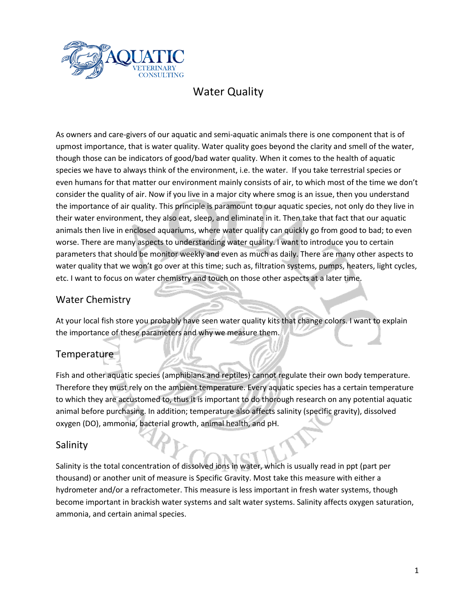

## Water Quality

As owners and care-givers of our aquatic and semi-aquatic animals there is one component that is of upmost importance, that is water quality. Water quality goes beyond the clarity and smell of the water, though those can be indicators of good/bad water quality. When it comes to the health of aquatic species we have to always think of the environment, i.e. the water. If you take terrestrial species or even humans for that matter our environment mainly consists of air, to which most of the time we don't consider the quality of air. Now if you live in a major city where smog is an issue, then you understand the importance of air quality. This principle is paramount to our aquatic species, not only do they live in their water environment, they also eat, sleep, and eliminate in it. Then take that fact that our aquatic animals then live in enclosed aquariums, where water quality can quickly go from good to bad; to even worse. There are many aspects to understanding water quality. I want to introduce you to certain parameters that should be monitor weekly and even as much as daily. There are many other aspects to water quality that we won't go over at this time; such as, filtration systems, pumps, heaters, light cycles, etc. I want to focus on water chemistry and touch on those other aspects at a later time.

## Water Chemistry

At your local fish store you probably have seen water quality kits that change colors. I want to explain the importance of these parameters and why we measure them.

## Temperature

Fish and other aquatic species (amphibians and reptiles) cannot regulate their own body temperature. Therefore they must rely on the ambient temperature. Every aquatic species has a certain temperature to which they are accustomed to, thus it is important to do thorough research on any potential aquatic animal before purchasing. In addition; temperature also affects salinity (specific gravity), dissolved oxygen (DO), ammonia, bacterial growth, animal health, and pH.

#### Salinity

Salinity is the total concentration of dissolved ions in water, which is usually read in ppt (part per thousand) or another unit of measure is Specific Gravity. Most take this measure with either a hydrometer and/or a refractometer. This measure is less important in fresh water systems, though become important in brackish water systems and salt water systems. Salinity affects oxygen saturation, ammonia, and certain animal species.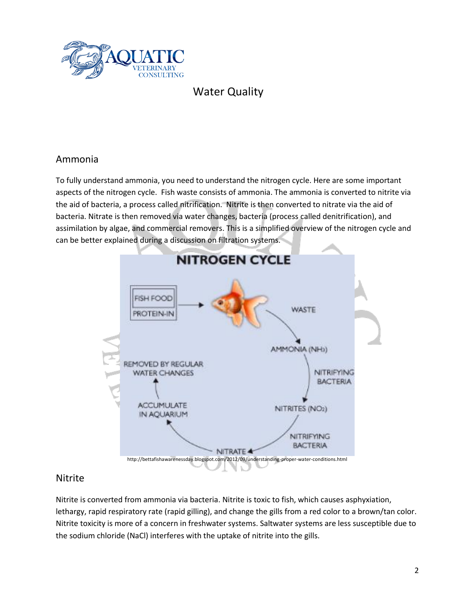

## Water Quality

## Ammonia

To fully understand ammonia, you need to understand the nitrogen cycle. Here are some important aspects of the nitrogen cycle. Fish waste consists of ammonia. The ammonia is converted to nitrite via the aid of bacteria, a process called nitrification. Nitrite is then converted to nitrate via the aid of bacteria. Nitrate is then removed via water changes, bacteria (process called denitrification), and assimilation by algae, and commercial removers. This is a simplified overview of the nitrogen cycle and can be better explained during a discussion on filtration systems.



#### Nitrite

Nitrite is converted from ammonia via bacteria. Nitrite is toxic to fish, which causes asphyxiation, lethargy, rapid respiratory rate (rapid gilling), and change the gills from a red color to a brown/tan color. Nitrite toxicity is more of a concern in freshwater systems. Saltwater systems are less susceptible due to the sodium chloride (NaCl) interferes with the uptake of nitrite into the gills.